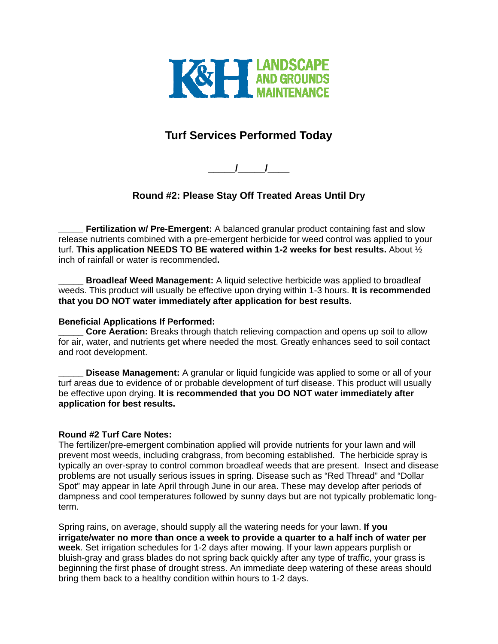

## **Turf Services Performed Today**

**\_\_\_\_\_/\_\_\_\_\_/\_\_\_\_** 

## **Round #2: Please Stay Off Treated Areas Until Dry**

**Fertilization w/ Pre-Emergent:** A balanced granular product containing fast and slow release nutrients combined with a pre-emergent herbicide for weed control was applied to your turf. **This application NEEDS TO BE watered within 1-2 weeks for best results.** About ½ inch of rainfall or water is recommended**.** 

**Broadleaf Weed Management:** A liquid selective herbicide was applied to broadleaf weeds. This product will usually be effective upon drying within 1-3 hours. **It is recommended that you DO NOT water immediately after application for best results.** 

## **Beneficial Applications If Performed:**

**Core Aeration:** Breaks through thatch relieving compaction and opens up soil to allow for air, water, and nutrients get where needed the most. Greatly enhances seed to soil contact and root development.

**Disease Management:** A granular or liquid fungicide was applied to some or all of your turf areas due to evidence of or probable development of turf disease. This product will usually be effective upon drying. **It is recommended that you DO NOT water immediately after application for best results.** 

## **Round #2 Turf Care Notes:**

The fertilizer/pre-emergent combination applied will provide nutrients for your lawn and will prevent most weeds, including crabgrass, from becoming established. The herbicide spray is typically an over-spray to control common broadleaf weeds that are present. Insect and disease problems are not usually serious issues in spring. Disease such as "Red Thread" and "Dollar Spot" may appear in late April through June in our area. These may develop after periods of dampness and cool temperatures followed by sunny days but are not typically problematic longterm.

Spring rains, on average, should supply all the watering needs for your lawn. **If you irrigate/water no more than once a week to provide a quarter to a half inch of water per week**. Set irrigation schedules for 1-2 days after mowing. If your lawn appears purplish or bluish-gray and grass blades do not spring back quickly after any type of traffic, your grass is beginning the first phase of drought stress. An immediate deep watering of these areas should bring them back to a healthy condition within hours to 1-2 days.